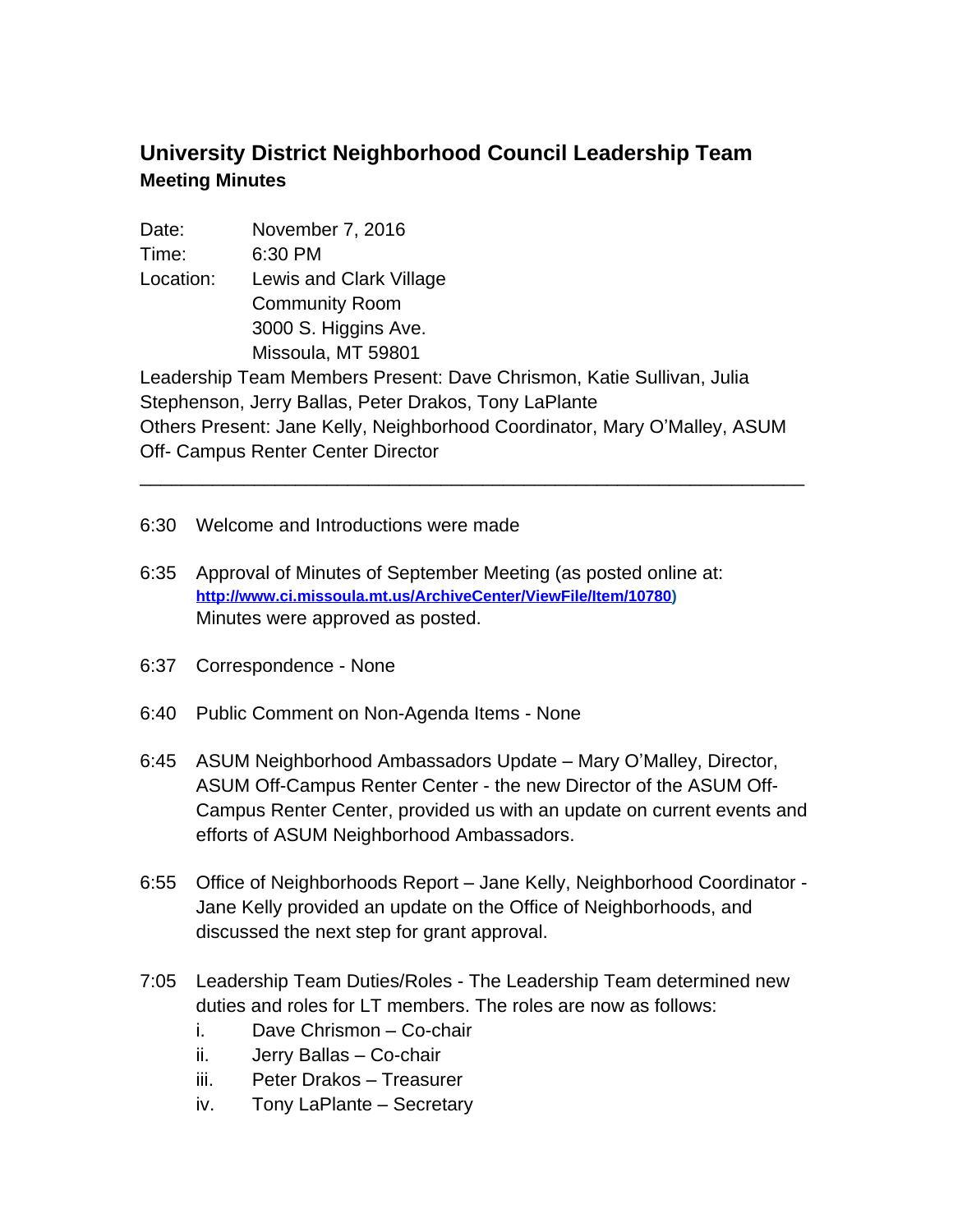## **University District Neighborhood Council Leadership Team Meeting Minutes**

Date: November 7, 2016 Time: 6:30 PM Location: Lewis and Clark Village Community Room 3000 S. Higgins Ave. Missoula, MT 59801 Leadership Team Members Present: Dave Chrismon, Katie Sullivan, Julia Stephenson, Jerry Ballas, Peter Drakos, Tony LaPlante Others Present: Jane Kelly, Neighborhood Coordinator, Mary O'Malley, ASUM Off- Campus Renter Center Director

\_\_\_\_\_\_\_\_\_\_\_\_\_\_\_\_\_\_\_\_\_\_\_\_\_\_\_\_\_\_\_\_\_\_\_\_\_\_\_\_\_\_\_\_\_\_\_\_\_\_\_\_\_\_\_\_\_\_\_\_\_\_\_\_

6:30 Welcome and Introductions were made

- 6:35 Approval of Minutes of September Meeting (as posted online at: **[http://www.ci.missoula.mt.us/ArchiveCenter/ViewFile/Item/10780\)](http://www.ci.missoula.mt.us/ArchiveCenter/ViewFile/Item/10780)** Minutes were approved as posted.
- 6:37 Correspondence None
- 6:40 Public Comment on Non-Agenda Items None
- 6:45 ASUM Neighborhood Ambassadors Update Mary O'Malley, Director, ASUM Off-Campus Renter Center - the new Director of the ASUM Off-Campus Renter Center, provided us with an update on current events and efforts of ASUM Neighborhood Ambassadors.
- 6:55 Office of Neighborhoods Report Jane Kelly, Neighborhood Coordinator Jane Kelly provided an update on the Office of Neighborhoods, and discussed the next step for grant approval.
- 7:05 Leadership Team Duties/Roles The Leadership Team determined new duties and roles for LT members. The roles are now as follows:
	- i. Dave Chrismon Co-chair
	- ii. Jerry Ballas Co-chair
	- iii. Peter Drakos Treasurer
	- iv. Tony LaPlante Secretary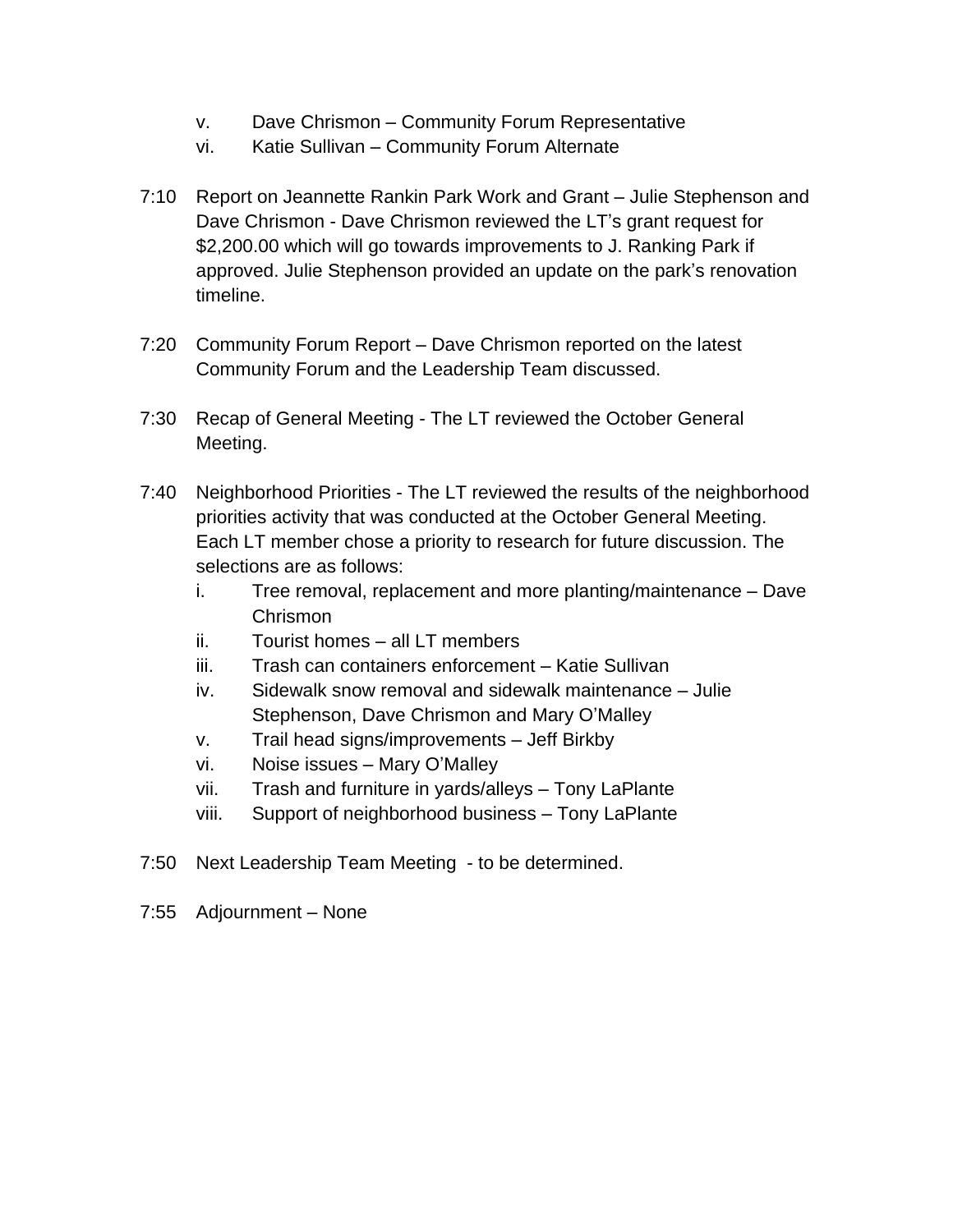- v. Dave Chrismon Community Forum Representative
- vi. Katie Sullivan Community Forum Alternate
- 7:10 Report on Jeannette Rankin Park Work and Grant Julie Stephenson and Dave Chrismon - Dave Chrismon reviewed the LT's grant request for \$2,200.00 which will go towards improvements to J. Ranking Park if approved. Julie Stephenson provided an update on the park's renovation timeline.
- 7:20 Community Forum Report Dave Chrismon reported on the latest Community Forum and the Leadership Team discussed.
- 7:30 Recap of General Meeting The LT reviewed the October General Meeting.
- 7:40 Neighborhood Priorities The LT reviewed the results of the neighborhood priorities activity that was conducted at the October General Meeting. Each LT member chose a priority to research for future discussion. The selections are as follows:
	- i. Tree removal, replacement and more planting/maintenance Dave Chrismon
	- ii. Tourist homes all LT members
	- iii. Trash can containers enforcement Katie Sullivan
	- iv. Sidewalk snow removal and sidewalk maintenance Julie Stephenson, Dave Chrismon and Mary O'Malley
	- v. Trail head signs/improvements Jeff Birkby
	- vi. Noise issues Mary O'Malley
	- vii. Trash and furniture in yards/alleys Tony LaPlante
	- viii. Support of neighborhood business Tony LaPlante
- 7:50 Next Leadership Team Meeting to be determined.
- 7:55 Adjournment None